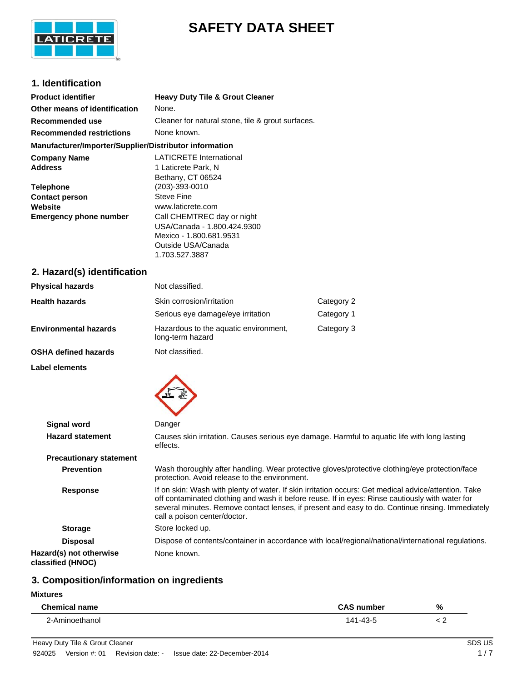

# **SAFETY DATA SHEET**

### **1. Identification**

| <b>Product identifier</b>                              | <b>Heavy Duty Tile &amp; Grout Cleaner</b>        |
|--------------------------------------------------------|---------------------------------------------------|
| Other means of identification                          | None.                                             |
| Recommended use                                        | Cleaner for natural stone, tile & grout surfaces. |
| <b>Recommended restrictions</b>                        | None known.                                       |
| Manufacturer/Importer/Supplier/Distributor information |                                                   |
| <b>Company Name</b>                                    | <b>LATICRETE International</b>                    |
| <b>Address</b>                                         | 1 Laticrete Park, N                               |
|                                                        | Bethany, CT 06524                                 |
| <b>Telephone</b>                                       | (203)-393-0010                                    |
| <b>Contact person</b>                                  | <b>Steve Fine</b>                                 |
| Website                                                | www.laticrete.com                                 |
| <b>Emergency phone number</b>                          | Call CHEMTREC day or night                        |
|                                                        | USA/Canada - 1.800.424.9300                       |
|                                                        | Mexico - 1.800.681.9531                           |
|                                                        | Outside USA/Canada                                |
|                                                        | 1.703.527.3887                                    |

### **2. Hazard(s) identification**

| <b>Physical hazards</b>      | Not classified.                                           |            |
|------------------------------|-----------------------------------------------------------|------------|
| <b>Health hazards</b>        | Skin corrosion/irritation                                 | Category 2 |
|                              | Serious eye damage/eye irritation                         | Category 1 |
| <b>Environmental hazards</b> | Hazardous to the aquatic environment,<br>long-term hazard | Category 3 |
| <b>OSHA defined hazards</b>  | Not classified.                                           |            |

**Label elements**



| Signal word                                  | Danger                                                                                                                                                                                                                                                                                                                                      |
|----------------------------------------------|---------------------------------------------------------------------------------------------------------------------------------------------------------------------------------------------------------------------------------------------------------------------------------------------------------------------------------------------|
| <b>Hazard statement</b>                      | Causes skin irritation. Causes serious eye damage. Harmful to aquatic life with long lasting<br>effects.                                                                                                                                                                                                                                    |
| <b>Precautionary statement</b>               |                                                                                                                                                                                                                                                                                                                                             |
| <b>Prevention</b>                            | Wash thoroughly after handling. Wear protective gloves/protective clothing/eye protection/face<br>protection. Avoid release to the environment.                                                                                                                                                                                             |
| <b>Response</b>                              | If on skin: Wash with plenty of water. If skin irritation occurs: Get medical advice/attention. Take<br>off contaminated clothing and wash it before reuse. If in eyes: Rinse cautiously with water for<br>several minutes. Remove contact lenses, if present and easy to do. Continue rinsing. Immediately<br>call a poison center/doctor. |
| <b>Storage</b>                               | Store locked up.                                                                                                                                                                                                                                                                                                                            |
| <b>Disposal</b>                              | Dispose of contents/container in accordance with local/regional/national/international regulations.                                                                                                                                                                                                                                         |
| Hazard(s) not otherwise<br>classified (HNOC) | None known.                                                                                                                                                                                                                                                                                                                                 |

### **3. Composition/information on ingredients**

#### **Mixtures**

| <b>Chemical name</b>           | number          |                          |
|--------------------------------|-----------------|--------------------------|
|                                |                 | %                        |
| $\mathbf{A}$ $\mathbf{A}$<br>. | $\mathbf{14}^n$ | $\overline{\phantom{0}}$ |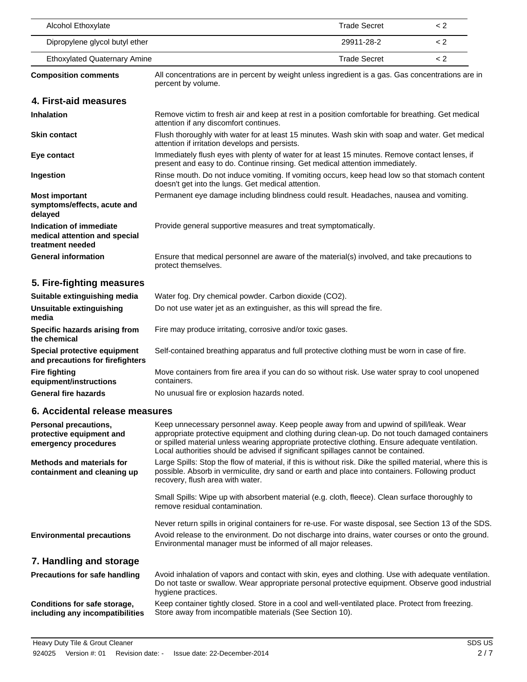| Alcohol Ethoxylate                                                           |                                                                                                                                                                                                                                                                                                                                                                                  | <b>Trade Secret</b> | < 2     |
|------------------------------------------------------------------------------|----------------------------------------------------------------------------------------------------------------------------------------------------------------------------------------------------------------------------------------------------------------------------------------------------------------------------------------------------------------------------------|---------------------|---------|
| Dipropylene glycol butyl ether                                               |                                                                                                                                                                                                                                                                                                                                                                                  | 29911-28-2          | < 2     |
| <b>Ethoxylated Quaternary Amine</b>                                          |                                                                                                                                                                                                                                                                                                                                                                                  | <b>Trade Secret</b> | $\lt 2$ |
| <b>Composition comments</b>                                                  | All concentrations are in percent by weight unless ingredient is a gas. Gas concentrations are in<br>percent by volume.                                                                                                                                                                                                                                                          |                     |         |
| 4. First-aid measures                                                        |                                                                                                                                                                                                                                                                                                                                                                                  |                     |         |
| <b>Inhalation</b>                                                            | Remove victim to fresh air and keep at rest in a position comfortable for breathing. Get medical<br>attention if any discomfort continues.                                                                                                                                                                                                                                       |                     |         |
| <b>Skin contact</b>                                                          | Flush thoroughly with water for at least 15 minutes. Wash skin with soap and water. Get medical<br>attention if irritation develops and persists.                                                                                                                                                                                                                                |                     |         |
| Eye contact                                                                  | Immediately flush eyes with plenty of water for at least 15 minutes. Remove contact lenses, if<br>present and easy to do. Continue rinsing. Get medical attention immediately.                                                                                                                                                                                                   |                     |         |
| Ingestion                                                                    | Rinse mouth. Do not induce vomiting. If vomiting occurs, keep head low so that stomach content<br>doesn't get into the lungs. Get medical attention.                                                                                                                                                                                                                             |                     |         |
| <b>Most important</b><br>symptoms/effects, acute and<br>delayed              | Permanent eye damage including blindness could result. Headaches, nausea and vomiting.                                                                                                                                                                                                                                                                                           |                     |         |
| Indication of immediate<br>medical attention and special<br>treatment needed | Provide general supportive measures and treat symptomatically.                                                                                                                                                                                                                                                                                                                   |                     |         |
| <b>General information</b>                                                   | Ensure that medical personnel are aware of the material(s) involved, and take precautions to<br>protect themselves.                                                                                                                                                                                                                                                              |                     |         |
| 5. Fire-fighting measures                                                    |                                                                                                                                                                                                                                                                                                                                                                                  |                     |         |
| Suitable extinguishing media                                                 | Water fog. Dry chemical powder. Carbon dioxide (CO2).                                                                                                                                                                                                                                                                                                                            |                     |         |
| Unsuitable extinguishing<br>media                                            | Do not use water jet as an extinguisher, as this will spread the fire.                                                                                                                                                                                                                                                                                                           |                     |         |
| Specific hazards arising from<br>the chemical                                | Fire may produce irritating, corrosive and/or toxic gases.                                                                                                                                                                                                                                                                                                                       |                     |         |
| Special protective equipment<br>and precautions for firefighters             | Self-contained breathing apparatus and full protective clothing must be worn in case of fire.                                                                                                                                                                                                                                                                                    |                     |         |
| <b>Fire fighting</b><br>equipment/instructions                               | Move containers from fire area if you can do so without risk. Use water spray to cool unopened<br>containers.                                                                                                                                                                                                                                                                    |                     |         |
| <b>General fire hazards</b>                                                  | No unusual fire or explosion hazards noted.                                                                                                                                                                                                                                                                                                                                      |                     |         |
| 6. Accidental release measures                                               |                                                                                                                                                                                                                                                                                                                                                                                  |                     |         |
| Personal precautions,<br>protective equipment and<br>emergency procedures    | Keep unnecessary personnel away. Keep people away from and upwind of spill/leak. Wear<br>appropriate protective equipment and clothing during clean-up. Do not touch damaged containers<br>or spilled material unless wearing appropriate protective clothing. Ensure adequate ventilation.<br>Local authorities should be advised if significant spillages cannot be contained. |                     |         |
| <b>Methods and materials for</b><br>containment and cleaning up              | Large Spills: Stop the flow of material, if this is without risk. Dike the spilled material, where this is<br>possible. Absorb in vermiculite, dry sand or earth and place into containers. Following product<br>recovery, flush area with water.                                                                                                                                |                     |         |
|                                                                              | Small Spills: Wipe up with absorbent material (e.g. cloth, fleece). Clean surface thoroughly to<br>remove residual contamination.                                                                                                                                                                                                                                                |                     |         |
|                                                                              | Never return spills in original containers for re-use. For waste disposal, see Section 13 of the SDS.                                                                                                                                                                                                                                                                            |                     |         |
| <b>Environmental precautions</b>                                             | Avoid release to the environment. Do not discharge into drains, water courses or onto the ground.<br>Environmental manager must be informed of all major releases.                                                                                                                                                                                                               |                     |         |
| 7. Handling and storage                                                      |                                                                                                                                                                                                                                                                                                                                                                                  |                     |         |
| <b>Precautions for safe handling</b>                                         | Avoid inhalation of vapors and contact with skin, eyes and clothing. Use with adequate ventilation.<br>Do not taste or swallow. Wear appropriate personal protective equipment. Observe good industrial<br>hygiene practices.                                                                                                                                                    |                     |         |
| Conditions for safe storage,<br>including any incompatibilities              | Keep container tightly closed. Store in a cool and well-ventilated place. Protect from freezing.<br>Store away from incompatible materials (See Section 10).                                                                                                                                                                                                                     |                     |         |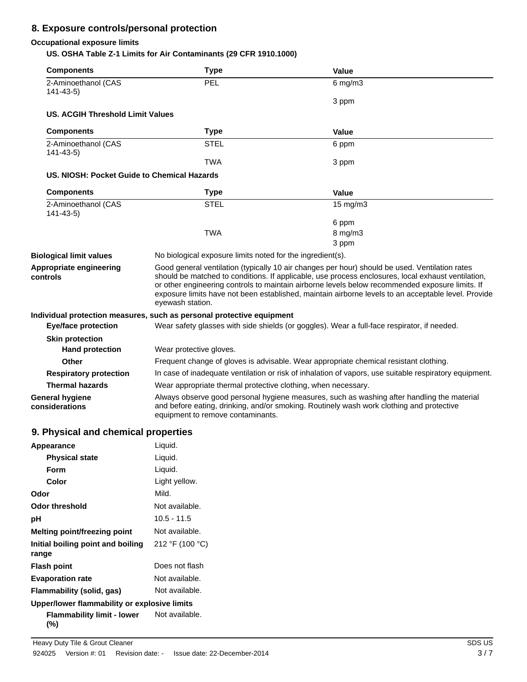### **8. Exposure controls/personal protection**

### **Occupational exposure limits**

**US. OSHA Table Z-1 Limits for Air Contaminants (29 CFR 1910.1000)**

| <b>Components</b>                           | <b>Type</b>                                                                                                                                                                                                                                                                                                                                                                                                                        | Value                                                                                                  |  |
|---------------------------------------------|------------------------------------------------------------------------------------------------------------------------------------------------------------------------------------------------------------------------------------------------------------------------------------------------------------------------------------------------------------------------------------------------------------------------------------|--------------------------------------------------------------------------------------------------------|--|
| 2-Aminoethanol (CAS<br>141-43-5)            | PEL                                                                                                                                                                                                                                                                                                                                                                                                                                | $6$ mg/m $3$                                                                                           |  |
|                                             |                                                                                                                                                                                                                                                                                                                                                                                                                                    | 3 ppm                                                                                                  |  |
| US. ACGIH Threshold Limit Values            |                                                                                                                                                                                                                                                                                                                                                                                                                                    |                                                                                                        |  |
| <b>Components</b>                           | <b>Type</b>                                                                                                                                                                                                                                                                                                                                                                                                                        | Value                                                                                                  |  |
| 2-Aminoethanol (CAS<br>$141 - 43 - 5$       | <b>STEL</b>                                                                                                                                                                                                                                                                                                                                                                                                                        | 6 ppm                                                                                                  |  |
|                                             | <b>TWA</b>                                                                                                                                                                                                                                                                                                                                                                                                                         | 3 ppm                                                                                                  |  |
| US. NIOSH: Pocket Guide to Chemical Hazards |                                                                                                                                                                                                                                                                                                                                                                                                                                    |                                                                                                        |  |
| <b>Components</b>                           | <b>Type</b>                                                                                                                                                                                                                                                                                                                                                                                                                        | Value                                                                                                  |  |
| 2-Aminoethanol (CAS                         | <b>STEL</b>                                                                                                                                                                                                                                                                                                                                                                                                                        | $15 \text{ mg/m}$                                                                                      |  |
| $141 - 43 - 5$                              |                                                                                                                                                                                                                                                                                                                                                                                                                                    |                                                                                                        |  |
|                                             | <b>TWA</b>                                                                                                                                                                                                                                                                                                                                                                                                                         | 6 ppm<br>8 mg/m3                                                                                       |  |
|                                             |                                                                                                                                                                                                                                                                                                                                                                                                                                    | 3 ppm                                                                                                  |  |
| <b>Biological limit values</b>              | No biological exposure limits noted for the ingredient(s).                                                                                                                                                                                                                                                                                                                                                                         |                                                                                                        |  |
| Appropriate engineering<br>controls         | Good general ventilation (typically 10 air changes per hour) should be used. Ventilation rates<br>should be matched to conditions. If applicable, use process enclosures, local exhaust ventilation,<br>or other engineering controls to maintain airborne levels below recommended exposure limits. If<br>exposure limits have not been established, maintain airborne levels to an acceptable level. Provide<br>eyewash station. |                                                                                                        |  |
|                                             | Individual protection measures, such as personal protective equipment                                                                                                                                                                                                                                                                                                                                                              |                                                                                                        |  |
| <b>Eye/face protection</b>                  | Wear safety glasses with side shields (or goggles). Wear a full-face respirator, if needed.                                                                                                                                                                                                                                                                                                                                        |                                                                                                        |  |
| <b>Skin protection</b>                      |                                                                                                                                                                                                                                                                                                                                                                                                                                    |                                                                                                        |  |
| <b>Hand protection</b>                      | Wear protective gloves.                                                                                                                                                                                                                                                                                                                                                                                                            |                                                                                                        |  |
| Other                                       |                                                                                                                                                                                                                                                                                                                                                                                                                                    | Frequent change of gloves is advisable. Wear appropriate chemical resistant clothing.                  |  |
| <b>Respiratory protection</b>               |                                                                                                                                                                                                                                                                                                                                                                                                                                    | In case of inadequate ventilation or risk of inhalation of vapors, use suitable respiratory equipment. |  |
| <b>Thermal hazards</b>                      |                                                                                                                                                                                                                                                                                                                                                                                                                                    | Wear appropriate thermal protective clothing, when necessary.                                          |  |
| <b>General hygiene</b><br>considerations    | Always observe good personal hygiene measures, such as washing after handling the material<br>and before eating, drinking, and/or smoking. Routinely wash work clothing and protective<br>equipment to remove contaminants.                                                                                                                                                                                                        |                                                                                                        |  |

### **9. Physical and chemical properties**

| Appearance                                   | Liquid.         |
|----------------------------------------------|-----------------|
| <b>Physical state</b>                        | Liquid.         |
| Form                                         | Liquid.         |
| Color                                        | Light yellow.   |
| Odor                                         | Mild.           |
| Odor threshold                               | Not available.  |
| рH                                           | $10.5 - 11.5$   |
| <b>Melting point/freezing point</b>          | Not available.  |
| Initial boiling point and boiling<br>range   | 212 °F (100 °C) |
| <b>Flash point</b>                           | Does not flash  |
| <b>Evaporation rate</b>                      | Not available.  |
| Flammability (solid, gas)                    | Not available.  |
| Upper/lower flammability or explosive limits |                 |
| Flammability limit - lower<br>(%)            | Not available.  |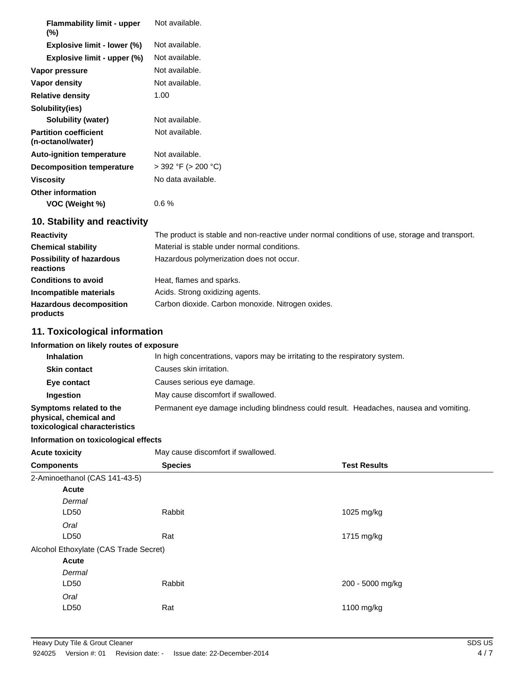| <b>Flammability limit - upper</b><br>$(\%)$       | Not available.           |
|---------------------------------------------------|--------------------------|
| Explosive limit - lower (%)                       | Not available.           |
| Explosive limit - upper (%)                       | Not available.           |
| Vapor pressure                                    | Not available.           |
| Vapor density                                     | Not available.           |
| <b>Relative density</b>                           | 1.00                     |
| Solubility(ies)                                   |                          |
| Solubility (water)                                | Not available.           |
| <b>Partition coefficient</b><br>(n-octanol/water) | Not available.           |
| <b>Auto-ignition temperature</b>                  | Not available.           |
| <b>Decomposition temperature</b>                  | $>$ 392 °F ( $>$ 200 °C) |
| <b>Viscosity</b>                                  | No data available.       |
| <b>Other information</b>                          |                          |
| VOC (Weight %)                                    | $0.6\%$                  |

### **10. Stability and reactivity**

| <b>Reactivity</b>                            | The product is stable and non-reactive under normal conditions of use, storage and transport. |
|----------------------------------------------|-----------------------------------------------------------------------------------------------|
| <b>Chemical stability</b>                    | Material is stable under normal conditions.                                                   |
| <b>Possibility of hazardous</b><br>reactions | Hazardous polymerization does not occur.                                                      |
| <b>Conditions to avoid</b>                   | Heat, flames and sparks.                                                                      |
| Incompatible materials                       | Acids. Strong oxidizing agents.                                                               |
| <b>Hazardous decomposition</b><br>products   | Carbon dioxide. Carbon monoxide. Nitrogen oxides.                                             |

### **11. Toxicological information**

| Information on likely routes of exposure                                           |                                                                                        |
|------------------------------------------------------------------------------------|----------------------------------------------------------------------------------------|
| <b>Inhalation</b>                                                                  | In high concentrations, vapors may be irritating to the respiratory system.            |
| <b>Skin contact</b>                                                                | Causes skin irritation.                                                                |
| Eye contact                                                                        | Causes serious eye damage.                                                             |
| Ingestion                                                                          | May cause discomfort if swallowed.                                                     |
| Symptoms related to the<br>physical, chemical and<br>toxicological characteristics | Permanent eve damage including blindness could result. Headaches, nausea and vomiting. |

#### **Information on toxicological effects**

| May cause discomfort if swallowed.<br><b>Acute toxicity</b><br><b>Species</b><br><b>Components</b> |        | <b>Test Results</b> |  |
|----------------------------------------------------------------------------------------------------|--------|---------------------|--|
|                                                                                                    |        |                     |  |
| Acute                                                                                              |        |                     |  |
| Dermal                                                                                             |        |                     |  |
| LD50                                                                                               | Rabbit | 1025 mg/kg          |  |
| Oral                                                                                               |        |                     |  |
| LD50                                                                                               | Rat    | 1715 mg/kg          |  |
| Alcohol Ethoxylate (CAS Trade Secret)                                                              |        |                     |  |
| Acute                                                                                              |        |                     |  |
| Dermal                                                                                             |        |                     |  |
| LD50                                                                                               | Rabbit | 200 - 5000 mg/kg    |  |
| Oral                                                                                               |        |                     |  |
| LD <sub>50</sub>                                                                                   | Rat    | 1100 mg/kg          |  |
|                                                                                                    |        |                     |  |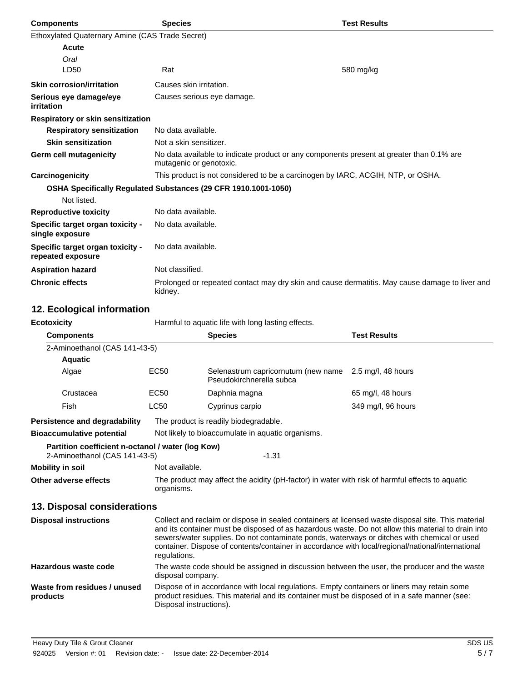| <b>Components</b>                                     | <b>Species</b>                                                                                                      | <b>Test Results</b>                                                                            |
|-------------------------------------------------------|---------------------------------------------------------------------------------------------------------------------|------------------------------------------------------------------------------------------------|
| Ethoxylated Quaternary Amine (CAS Trade Secret)       |                                                                                                                     |                                                                                                |
| Acute                                                 |                                                                                                                     |                                                                                                |
| Oral                                                  |                                                                                                                     |                                                                                                |
| LD50                                                  | Rat                                                                                                                 | 580 mg/kg                                                                                      |
| <b>Skin corrosion/irritation</b>                      | Causes skin irritation.                                                                                             |                                                                                                |
| Serious eye damage/eye<br><i>irritation</i>           | Causes serious eye damage.                                                                                          |                                                                                                |
| Respiratory or skin sensitization                     |                                                                                                                     |                                                                                                |
| <b>Respiratory sensitization</b>                      | No data available.                                                                                                  |                                                                                                |
| <b>Skin sensitization</b>                             | Not a skin sensitizer.                                                                                              |                                                                                                |
| Germ cell mutagenicity                                | No data available to indicate product or any components present at greater than 0.1% are<br>mutagenic or genotoxic. |                                                                                                |
| Carcinogenicity                                       | This product is not considered to be a carcinogen by IARC, ACGIH, NTP, or OSHA.                                     |                                                                                                |
|                                                       | OSHA Specifically Regulated Substances (29 CFR 1910.1001-1050)                                                      |                                                                                                |
| Not listed.                                           |                                                                                                                     |                                                                                                |
| <b>Reproductive toxicity</b>                          | No data available.                                                                                                  |                                                                                                |
| Specific target organ toxicity -<br>single exposure   | No data available.                                                                                                  |                                                                                                |
| Specific target organ toxicity -<br>repeated exposure | No data available.                                                                                                  |                                                                                                |
| <b>Aspiration hazard</b>                              | Not classified.                                                                                                     |                                                                                                |
| <b>Chronic effects</b>                                | kidney.                                                                                                             | Prolonged or repeated contact may dry skin and cause dermatitis. May cause damage to liver and |

## **12. Ecological information**

| <b>Ecotoxicity</b>                                                                            | Harmful to aquatic life with long lasting effects.                                                                                                                                                                                                                                                                                                                                                                           |                                                                 |                      |  |
|-----------------------------------------------------------------------------------------------|------------------------------------------------------------------------------------------------------------------------------------------------------------------------------------------------------------------------------------------------------------------------------------------------------------------------------------------------------------------------------------------------------------------------------|-----------------------------------------------------------------|----------------------|--|
| <b>Components</b>                                                                             |                                                                                                                                                                                                                                                                                                                                                                                                                              | <b>Species</b>                                                  | <b>Test Results</b>  |  |
| 2-Aminoethanol (CAS 141-43-5)                                                                 |                                                                                                                                                                                                                                                                                                                                                                                                                              |                                                                 |                      |  |
| <b>Aquatic</b>                                                                                |                                                                                                                                                                                                                                                                                                                                                                                                                              |                                                                 |                      |  |
| Algae                                                                                         | <b>EC50</b>                                                                                                                                                                                                                                                                                                                                                                                                                  | Selenastrum capricornutum (new name<br>Pseudokirchnerella subca | $2.5$ mg/l, 48 hours |  |
| Crustacea                                                                                     | EC <sub>50</sub>                                                                                                                                                                                                                                                                                                                                                                                                             | Daphnia magna                                                   | 65 mg/l, 48 hours    |  |
| Fish                                                                                          | <b>LC50</b>                                                                                                                                                                                                                                                                                                                                                                                                                  | Cyprinus carpio                                                 | 349 mg/l, 96 hours   |  |
| Persistence and degradability                                                                 |                                                                                                                                                                                                                                                                                                                                                                                                                              | The product is readily biodegradable.                           |                      |  |
| <b>Bioaccumulative potential</b>                                                              |                                                                                                                                                                                                                                                                                                                                                                                                                              | Not likely to bioaccumulate in aquatic organisms.               |                      |  |
| Partition coefficient n-octanol / water (log Kow)<br>2-Aminoethanol (CAS 141-43-5)<br>$-1.31$ |                                                                                                                                                                                                                                                                                                                                                                                                                              |                                                                 |                      |  |
| <b>Mobility in soil</b>                                                                       | Not available.                                                                                                                                                                                                                                                                                                                                                                                                               |                                                                 |                      |  |
| Other adverse effects                                                                         | The product may affect the acidity (pH-factor) in water with risk of harmful effects to aquatic<br>organisms.                                                                                                                                                                                                                                                                                                                |                                                                 |                      |  |
| 13. Disposal considerations                                                                   |                                                                                                                                                                                                                                                                                                                                                                                                                              |                                                                 |                      |  |
| <b>Disposal instructions</b>                                                                  | Collect and reclaim or dispose in sealed containers at licensed waste disposal site. This material<br>and its container must be disposed of as hazardous waste. Do not allow this material to drain into<br>sewers/water supplies. Do not contaminate ponds, waterways or ditches with chemical or used<br>container. Dispose of contents/container in accordance with local/regional/national/international<br>regulations. |                                                                 |                      |  |
| Hazardous waste code                                                                          | The waste code should be assigned in discussion between the user, the producer and the waste<br>disposal company.                                                                                                                                                                                                                                                                                                            |                                                                 |                      |  |
| Waste from residues / unused<br>products                                                      | Dispose of in accordance with local regulations. Empty containers or liners may retain some<br>product residues. This material and its container must be disposed of in a safe manner (see:<br>Disposal instructions).                                                                                                                                                                                                       |                                                                 |                      |  |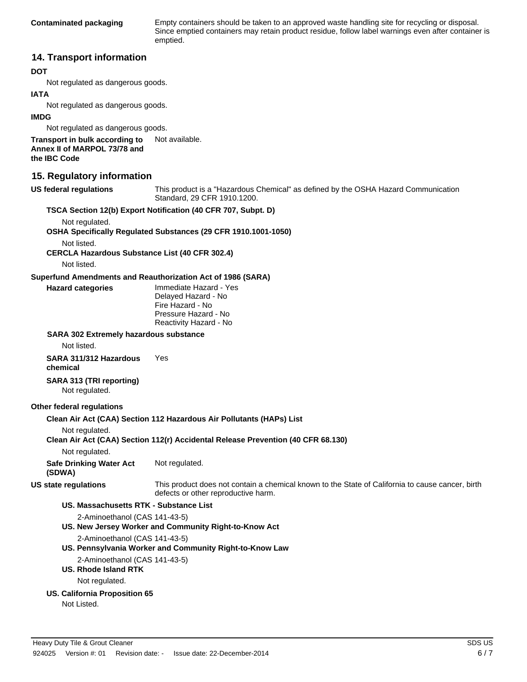**Contaminated packaging** Empty containers should be taken to an approved waste handling site for recycling or disposal. Since emptied containers may retain product residue, follow label warnings even after container is emptied.

#### **14. Transport information**

#### **DOT**

Not regulated as dangerous goods.

#### **IATA**

Not regulated as dangerous goods.

#### **IMDG**

Not regulated as dangerous goods.

**Transport in bulk according to** Not available. **Annex II of MARPOL 73/78 and the IBC Code**

#### **15. Regulatory information**

**US federal regulations** This product is a "Hazardous Chemical" as defined by the OSHA Hazard Communication Standard, 29 CFR 1910.1200.

#### **TSCA Section 12(b) Export Notification (40 CFR 707, Subpt. D)**

Not regulated.

**OSHA Specifically Regulated Substances (29 CFR 1910.1001-1050)**

Not listed.

**CERCLA Hazardous Substance List (40 CFR 302.4)**

Not listed.

#### **Superfund Amendments and Reauthorization Act of 1986 (SARA)**

**Hazard categories** Immediate Hazard - Yes Delayed Hazard - No Fire Hazard - No Pressure Hazard - No Reactivity Hazard - No

#### **SARA 302 Extremely hazardous substance**

Not listed.

#### **SARA 311/312 Hazardous chemical** Yes

**SARA 313 (TRI reporting)**

Not regulated.

#### **Other federal regulations**

#### **Clean Air Act (CAA) Section 112 Hazardous Air Pollutants (HAPs) List**

Not regulated.

#### **Clean Air Act (CAA) Section 112(r) Accidental Release Prevention (40 CFR 68.130)**

Not regulated.

**Safe Drinking Water Act** Not regulated.

**(SDWA)**

**US state regulations** This product does not contain a chemical known to the State of California to cause cancer, birth defects or other reproductive harm.

#### **US. Massachusetts RTK - Substance List**

2-Aminoethanol (CAS 141-43-5)

#### **US. New Jersey Worker and Community Right-to-Know Act**

2-Aminoethanol (CAS 141-43-5)

**US. Pennsylvania Worker and Community Right-to-Know Law**

2-Aminoethanol (CAS 141-43-5)

**US. Rhode Island RTK**

Not regulated.

#### **US. California Proposition 65**

Not Listed.